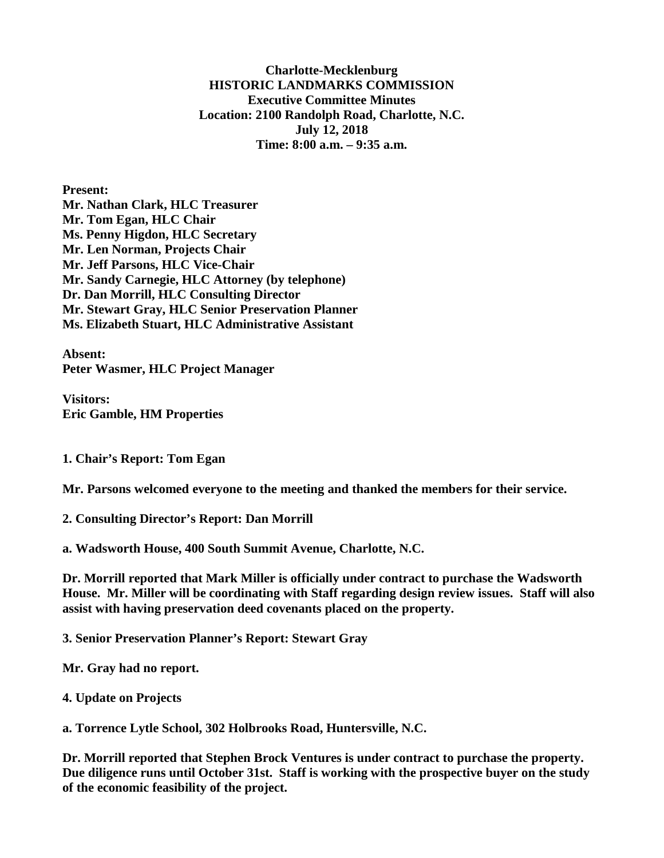**Charlotte-Mecklenburg HISTORIC LANDMARKS COMMISSION Executive Committee Minutes Location: 2100 Randolph Road, Charlotte, N.C. July 12, 2018 Time: 8:00 a.m. – 9:35 a.m.**

**Present: Mr. Nathan Clark, HLC Treasurer Mr. Tom Egan, HLC Chair Ms. Penny Higdon, HLC Secretary Mr. Len Norman, Projects Chair Mr. Jeff Parsons, HLC Vice-Chair Mr. Sandy Carnegie, HLC Attorney (by telephone) Dr. Dan Morrill, HLC Consulting Director Mr. Stewart Gray, HLC Senior Preservation Planner Ms. Elizabeth Stuart, HLC Administrative Assistant**

**Absent: Peter Wasmer, HLC Project Manager** 

**Visitors: Eric Gamble, HM Properties**

**1. Chair's Report: Tom Egan**

**Mr. Parsons welcomed everyone to the meeting and thanked the members for their service.**

**2. Consulting Director's Report: Dan Morrill** 

**a. Wadsworth House, 400 South Summit Avenue, Charlotte, N.C.**

**Dr. Morrill reported that Mark Miller is officially under contract to purchase the Wadsworth House. Mr. Miller will be coordinating with Staff regarding design review issues. Staff will also assist with having preservation deed covenants placed on the property.** 

**3. Senior Preservation Planner's Report: Stewart Gray**

**Mr. Gray had no report.** 

**4. Update on Projects**

**a. Torrence Lytle School, 302 Holbrooks Road, Huntersville, N.C.**

**Dr. Morrill reported that Stephen Brock Ventures is under contract to purchase the property. Due diligence runs until October 31st. Staff is working with the prospective buyer on the study of the economic feasibility of the project.**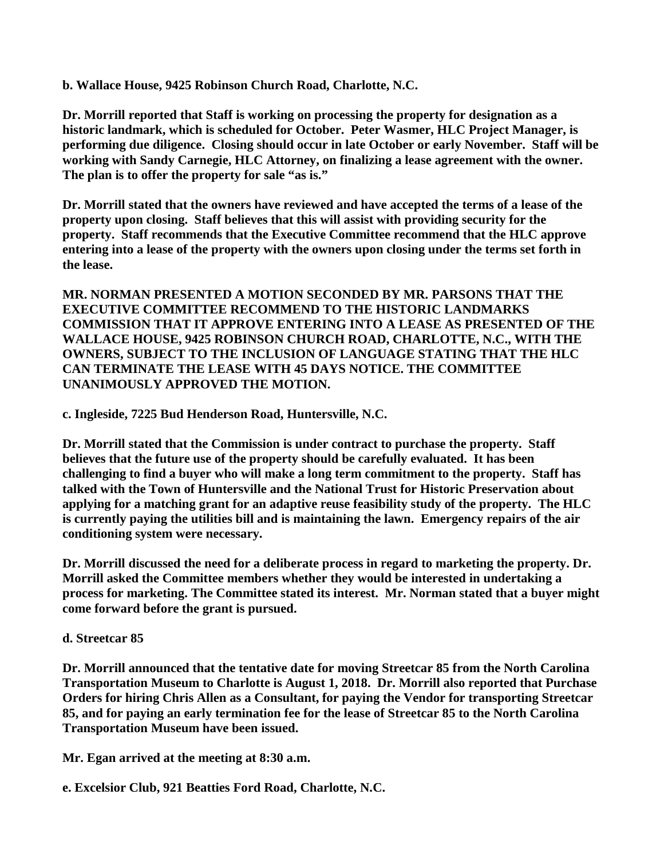**b. Wallace House, 9425 Robinson Church Road, Charlotte, N.C.**

**Dr. Morrill reported that Staff is working on processing the property for designation as a historic landmark, which is scheduled for October. Peter Wasmer, HLC Project Manager, is performing due diligence. Closing should occur in late October or early November. Staff will be working with Sandy Carnegie, HLC Attorney, on finalizing a lease agreement with the owner. The plan is to offer the property for sale "as is."**

**Dr. Morrill stated that the owners have reviewed and have accepted the terms of a lease of the property upon closing. Staff believes that this will assist with providing security for the property. Staff recommends that the Executive Committee recommend that the HLC approve entering into a lease of the property with the owners upon closing under the terms set forth in the lease.**

**MR. NORMAN PRESENTED A MOTION SECONDED BY MR. PARSONS THAT THE EXECUTIVE COMMITTEE RECOMMEND TO THE HISTORIC LANDMARKS COMMISSION THAT IT APPROVE ENTERING INTO A LEASE AS PRESENTED OF THE WALLACE HOUSE, 9425 ROBINSON CHURCH ROAD, CHARLOTTE, N.C., WITH THE OWNERS, SUBJECT TO THE INCLUSION OF LANGUAGE STATING THAT THE HLC CAN TERMINATE THE LEASE WITH 45 DAYS NOTICE. THE COMMITTEE UNANIMOUSLY APPROVED THE MOTION.** 

**c. Ingleside, 7225 Bud Henderson Road, Huntersville, N.C.** 

**Dr. Morrill stated that the Commission is under contract to purchase the property. Staff believes that the future use of the property should be carefully evaluated. It has been challenging to find a buyer who will make a long term commitment to the property. Staff has talked with the Town of Huntersville and the National Trust for Historic Preservation about applying for a matching grant for an adaptive reuse feasibility study of the property. The HLC is currently paying the utilities bill and is maintaining the lawn. Emergency repairs of the air conditioning system were necessary.**

**Dr. Morrill discussed the need for a deliberate process in regard to marketing the property. Dr. Morrill asked the Committee members whether they would be interested in undertaking a process for marketing. The Committee stated its interest. Mr. Norman stated that a buyer might come forward before the grant is pursued.**

# **d. Streetcar 85**

**Dr. Morrill announced that the tentative date for moving Streetcar 85 from the North Carolina Transportation Museum to Charlotte is August 1, 2018. Dr. Morrill also reported that Purchase Orders for hiring Chris Allen as a Consultant, for paying the Vendor for transporting Streetcar 85, and for paying an early termination fee for the lease of Streetcar 85 to the North Carolina Transportation Museum have been issued.**

**Mr. Egan arrived at the meeting at 8:30 a.m.** 

**e. Excelsior Club, 921 Beatties Ford Road, Charlotte, N.C.**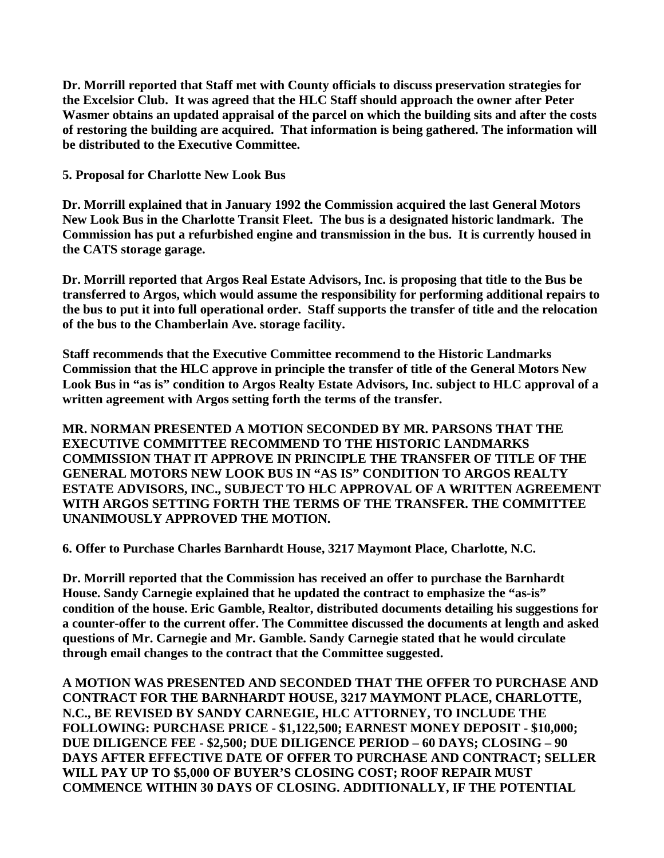**Dr. Morrill reported that Staff met with County officials to discuss preservation strategies for the Excelsior Club. It was agreed that the HLC Staff should approach the owner after Peter Wasmer obtains an updated appraisal of the parcel on which the building sits and after the costs of restoring the building are acquired. That information is being gathered. The information will be distributed to the Executive Committee.** 

**5. Proposal for Charlotte New Look Bus**

**Dr. Morrill explained that in January 1992 the Commission acquired the last General Motors New Look Bus in the Charlotte Transit Fleet. The bus is a designated historic landmark. The Commission has put a refurbished engine and transmission in the bus. It is currently housed in the CATS storage garage.** 

**Dr. Morrill reported that Argos Real Estate Advisors, Inc. is proposing that title to the Bus be transferred to Argos, which would assume the responsibility for performing additional repairs to the bus to put it into full operational order. Staff supports the transfer of title and the relocation of the bus to the Chamberlain Ave. storage facility.** 

**Staff recommends that the Executive Committee recommend to the Historic Landmarks Commission that the HLC approve in principle the transfer of title of the General Motors New Look Bus in "as is" condition to Argos Realty Estate Advisors, Inc. subject to HLC approval of a written agreement with Argos setting forth the terms of the transfer.**

**MR. NORMAN PRESENTED A MOTION SECONDED BY MR. PARSONS THAT THE EXECUTIVE COMMITTEE RECOMMEND TO THE HISTORIC LANDMARKS COMMISSION THAT IT APPROVE IN PRINCIPLE THE TRANSFER OF TITLE OF THE GENERAL MOTORS NEW LOOK BUS IN "AS IS" CONDITION TO ARGOS REALTY ESTATE ADVISORS, INC., SUBJECT TO HLC APPROVAL OF A WRITTEN AGREEMENT WITH ARGOS SETTING FORTH THE TERMS OF THE TRANSFER. THE COMMITTEE UNANIMOUSLY APPROVED THE MOTION.**

**6. Offer to Purchase Charles Barnhardt House, 3217 Maymont Place, Charlotte, N.C.**

**Dr. Morrill reported that the Commission has received an offer to purchase the Barnhardt House. Sandy Carnegie explained that he updated the contract to emphasize the "as-is" condition of the house. Eric Gamble, Realtor, distributed documents detailing his suggestions for a counter-offer to the current offer. The Committee discussed the documents at length and asked questions of Mr. Carnegie and Mr. Gamble. Sandy Carnegie stated that he would circulate through email changes to the contract that the Committee suggested.** 

**A MOTION WAS PRESENTED AND SECONDED THAT THE OFFER TO PURCHASE AND CONTRACT FOR THE BARNHARDT HOUSE, 3217 MAYMONT PLACE, CHARLOTTE, N.C., BE REVISED BY SANDY CARNEGIE, HLC ATTORNEY, TO INCLUDE THE FOLLOWING: PURCHASE PRICE - \$1,122,500; EARNEST MONEY DEPOSIT - \$10,000; DUE DILIGENCE FEE - \$2,500; DUE DILIGENCE PERIOD – 60 DAYS; CLOSING – 90 DAYS AFTER EFFECTIVE DATE OF OFFER TO PURCHASE AND CONTRACT; SELLER WILL PAY UP TO \$5,000 OF BUYER'S CLOSING COST; ROOF REPAIR MUST COMMENCE WITHIN 30 DAYS OF CLOSING. ADDITIONALLY, IF THE POTENTIAL**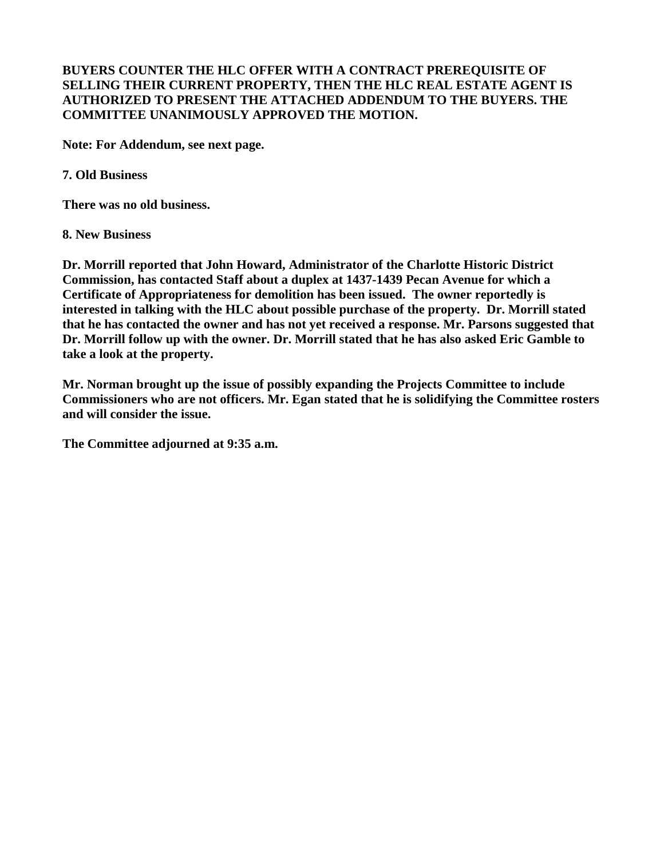## **BUYERS COUNTER THE HLC OFFER WITH A CONTRACT PREREQUISITE OF SELLING THEIR CURRENT PROPERTY, THEN THE HLC REAL ESTATE AGENT IS AUTHORIZED TO PRESENT THE ATTACHED ADDENDUM TO THE BUYERS. THE COMMITTEE UNANIMOUSLY APPROVED THE MOTION.**

**Note: For Addendum, see next page.** 

**7. Old Business**

**There was no old business.**

## **8. New Business**

**Dr. Morrill reported that John Howard, Administrator of the Charlotte Historic District Commission, has contacted Staff about a duplex at 1437-1439 Pecan Avenue for which a Certificate of Appropriateness for demolition has been issued. The owner reportedly is interested in talking with the HLC about possible purchase of the property. Dr. Morrill stated that he has contacted the owner and has not yet received a response. Mr. Parsons suggested that Dr. Morrill follow up with the owner. Dr. Morrill stated that he has also asked Eric Gamble to take a look at the property.**

**Mr. Norman brought up the issue of possibly expanding the Projects Committee to include Commissioners who are not officers. Mr. Egan stated that he is solidifying the Committee rosters and will consider the issue.** 

**The Committee adjourned at 9:35 a.m.**